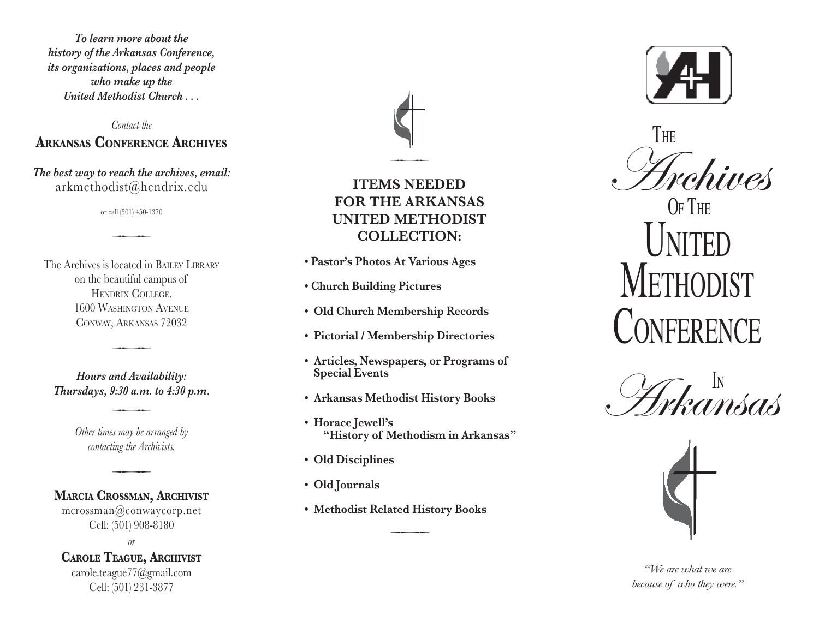*To learn more about the history of the Arkansas Conference, its organizations, places and people who make up the United Methodist Church . . .*

#### *Contact the* **Arkans s Conferen e Ar chives a c**

*The best way to reach the archives, email:* arkmethodist@hendrix.edu

or call (501) 450-1370

 $\overline{\phantom{a}}$ 

The Archives is located in BAILEY LIBRARY on the beautiful campus of Hendrix College. 1600 Was hington Avenue Con way, Arkansas 72032

*Hours and Availability: Thursdays, 9:30 a.m. to 4:30 p.m* .

 $\overline{\phantom{a}}$ 

*Other times may be arranged by contacting the Archivists.*

 $\overline{\phantom{a}}$ 

#### **M ar i a Crossma n, Ar chivist c**

 $\overline{\phantom{a}}$ 

mcrossman@conwaycorp.net Cell: (501) 908-8180

*or*

# **C arole T e ague, Ar chivist**

carole.teague77@gmail.com Cell: (501) 231-3877



**•• POR THE ARKANSAS**<br>
•• COLLECTION:<br>
•• Pastor's Photos At Various Ages<br>
•• Church Building Pictures<br>
•• Old Church Membership Records<br>
•• Pictorial / Membership Directorie<br>
•• Articles, Newspapers, or Program<br>
• Special **Items NEEDED fOR THE ARKA UNITED METHODIST collec tion :**

- **Pastor's Photos At Various Ages**
- **Church Building Pictures**
- **• Old Church Membership Records • Pictorial / Membership Directories**
- 
- **• Articles, Newspapers, or Programs of Special Events**
- **• Arkansas Methodist History Books**
- **• Horace Jewell's "History of Methodism in Arkansas"**
- 
- 
- 

 $\overline{\phantom{a}}$ 



Archives

 O f The UNI ted **INETHODIS CONFERENCE Contract Contract Contract Contract Contract Contract Contract Contract Contract Contract Contract Contract Contract Contract Contract Contract Contract Contract Contract Contract Contract Contract Contract Contract Contr**  $\frac{S_{\text{rehives}}}{S_{\text{PTHE}}}\nMETHODIST\nConference\nS_{\text{P/Kanissa}}$ 



*"We are what we are because of who they were."*